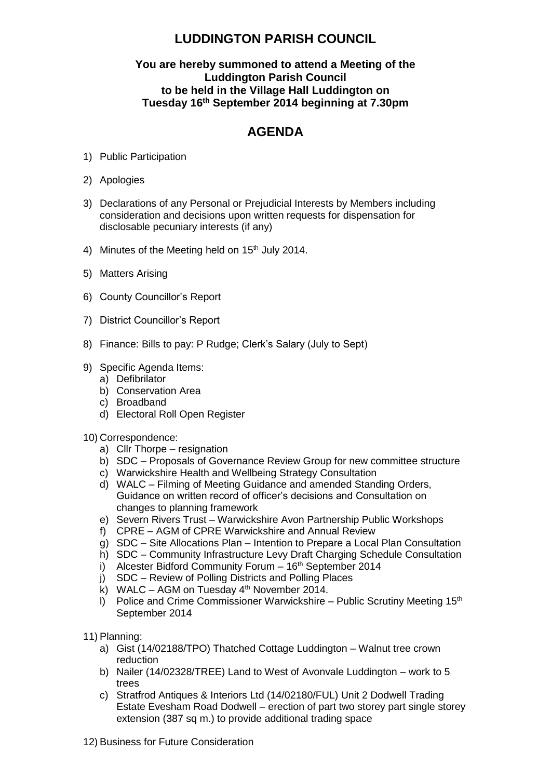## **LUDDINGTON PARISH COUNCIL**

## **You are hereby summoned to attend a Meeting of the Luddington Parish Council to be held in the Village Hall Luddington on Tuesday 16 th September 2014 beginning at 7.30pm**

## **AGENDA**

- 1) Public Participation
- 2) Apologies
- 3) Declarations of any Personal or Prejudicial Interests by Members including consideration and decisions upon written requests for dispensation for disclosable pecuniary interests (if any)
- 4) Minutes of the Meeting held on  $15<sup>th</sup>$  July 2014.
- 5) Matters Arising
- 6) County Councillor's Report
- 7) District Councillor's Report
- 8) Finance: Bills to pay: P Rudge; Clerk's Salary (July to Sept)
- 9) Specific Agenda Items:
	- a) Defibrilator
	- b) Conservation Area
	- c) Broadband
	- d) Electoral Roll Open Register
- 10) Correspondence:
	- a) Cllr Thorpe resignation
	- b) SDC Proposals of Governance Review Group for new committee structure
	- c) Warwickshire Health and Wellbeing Strategy Consultation
	- d) WALC Filming of Meeting Guidance and amended Standing Orders, Guidance on written record of officer's decisions and Consultation on changes to planning framework
	- e) Severn Rivers Trust Warwickshire Avon Partnership Public Workshops
	- f) CPRE AGM of CPRE Warwickshire and Annual Review
	- g) SDC Site Allocations Plan Intention to Prepare a Local Plan Consultation
	- h) SDC Community Infrastructure Levy Draft Charging Schedule Consultation
	- i) Alcester Bidford Community Forum 16<sup>th</sup> September 2014
	- j) SDC Review of Polling Districts and Polling Places
	- k) WALC AGM on Tuesday  $4<sup>th</sup>$  November 2014.
	- I) Police and Crime Commissioner Warwickshire Public Scrutiny Meeting  $15<sup>th</sup>$ September 2014
- 11) Planning:
	- a) Gist (14/02188/TPO) Thatched Cottage Luddington Walnut tree crown reduction
	- b) Nailer (14/02328/TREE) Land to West of Avonvale Luddington work to 5 trees
	- c) Stratfrod Antiques & Interiors Ltd (14/02180/FUL) Unit 2 Dodwell Trading Estate Evesham Road Dodwell – erection of part two storey part single storey extension (387 sq m.) to provide additional trading space
- 12) Business for Future Consideration